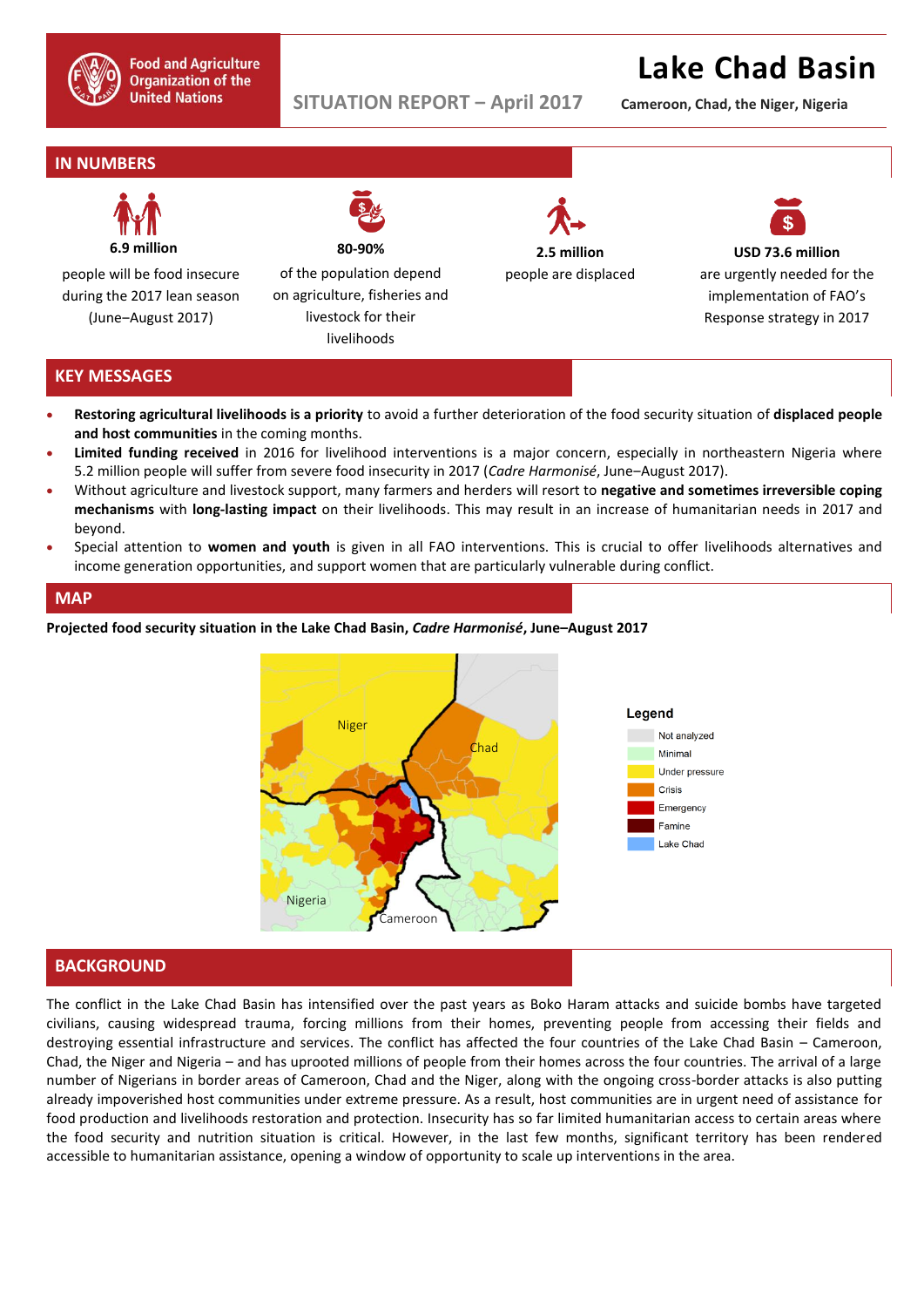

# **Lake Chad Basin**

**SITUATION REPORT ‒ April 2017 Cameroon, Chad, the Niger, Nigeria**

# **IN NUMBERS**



people will be food insecure during the 2017 lean season (June‒August 2017)

**80-90%**  of the population depend

on agriculture, fisheries and livestock for their livelihoods



people are displaced



**USD 73.6 million** are urgently needed for the implementation of FAO's Response strategy in 2017

## **KEY MESSAGES**

- **Restoring agricultural livelihoods is a priority** to avoid a further deterioration of the food security situation of **displaced people and host communities** in the coming months.
- **Limited funding received** in 2016 for livelihood interventions is a major concern, especially in northeastern Nigeria where 5.2 million people will suffer from severe food insecurity in 2017 (Cadre Harmonisé, June-August 2017).
- Without agriculture and livestock support, many farmers and herders will resort to **negative and sometimes irreversible coping mechanisms** with **long-lasting impact** on their livelihoods. This may result in an increase of humanitarian needs in 2017 and beyond.
- Special attention to **women and youth** is given in all FAO interventions. This is crucial to offer livelihoods alternatives and income generation opportunities, and support women that are particularly vulnerable during conflict.

#### **MAP**

#### **Projected food security situation in the Lake Chad Basin,** *Cadre Harmonisé***, June–August 2017**



## **BACKGROUND**

The conflict in the Lake Chad Basin has intensified over the past years as Boko Haram attacks and suicide bombs have targeted civilians, causing widespread trauma, forcing millions from their homes, preventing people from accessing their fields and destroying essential infrastructure and services. The conflict has affected the four countries of the Lake Chad Basin – Cameroon, Chad, the Niger and Nigeria – and has uprooted millions of people from their homes across the four countries. The arrival of a large number of Nigerians in border areas of Cameroon, Chad and the Niger, along with the ongoing cross-border attacks is also putting already impoverished host communities under extreme pressure. As a result, host communities are in urgent need of assistance for food production and livelihoods restoration and protection. Insecurity has so far limited humanitarian access to certain areas where the food security and nutrition situation is critical. However, in the last few months, significant territory has been rendered accessible to humanitarian assistance, opening a window of opportunity to scale up interventions in the area.